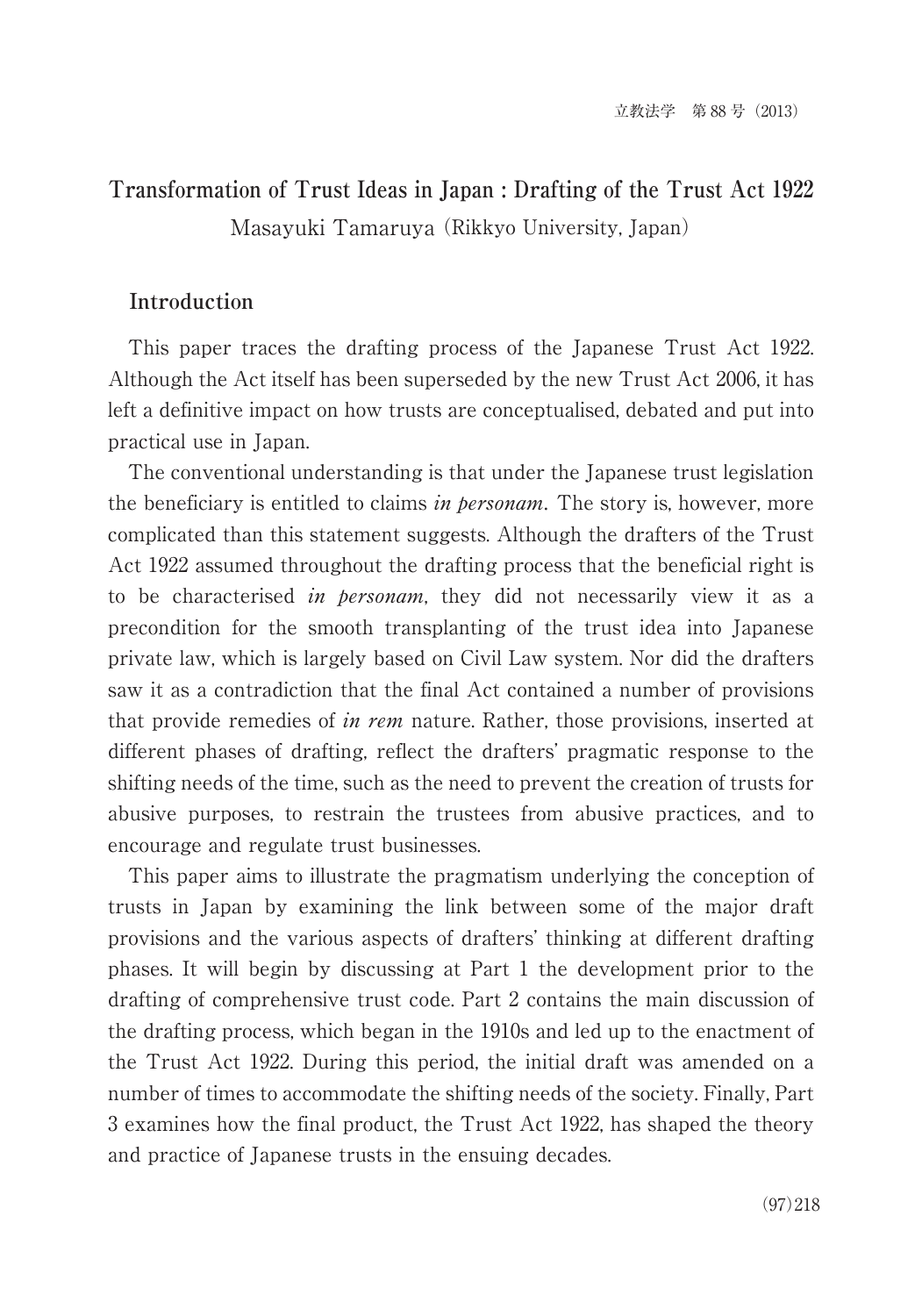# **Transformation of Trust Ideas in Japan : Drafting of the Trust Act 1922** Masayuki Tamaruya (Rikkyo University, Japan)

# **Introduction**

This paper traces the drafting process of the Japanese Trust Act 1922. Although the Act itself has been superseded by the new Trust Act 2006, it has left a definitive impact on how trusts are conceptualised, debated and put into practical use in Japan.

The conventional understanding is that under the Japanese trust legislation the beneficiary is entitled to claims *in personam*. The story is, however, more complicated than this statement suggests. Although the drafters of the Trust Act 1922 assumed throughout the drafting process that the beneficial right is to be characterised *in personam*, they did not necessarily view it as a precondition for the smooth transplanting of the trust idea into Japanese private law, which is largely based on Civil Law system. Nor did the drafters saw it as a contradiction that the final Act contained a number of provisions that provide remedies of in rem nature. Rather, those provisions, inserted at different phases of drafting, reflect the drafters' pragmatic response to the shifting needs of the time, such as the need to prevent the creation of trusts for abusive purposes, to restrain the trustees from abusive practices, and to encourage and regulate trust businesses.

This paper aims to illustrate the pragmatism underlying the conception of trusts in Japan by examining the link between some of the major draft provisions and the various aspects of drafters' thinking at different drafting phases. It will begin by discussing at Part 1 the development prior to the drafting of comprehensive trust code. Part 2 contains the main discussion of the drafting process, which began in the 1910s and led up to the enactment of the Trust Act 1922. During this period, the initial draft was amended on a number of times to accommodate the shifting needs of the society. Finally, Part 3 examines how the final product, the Trust Act 1922, has shaped the theory and practice of Japanese trusts in the ensuing decades.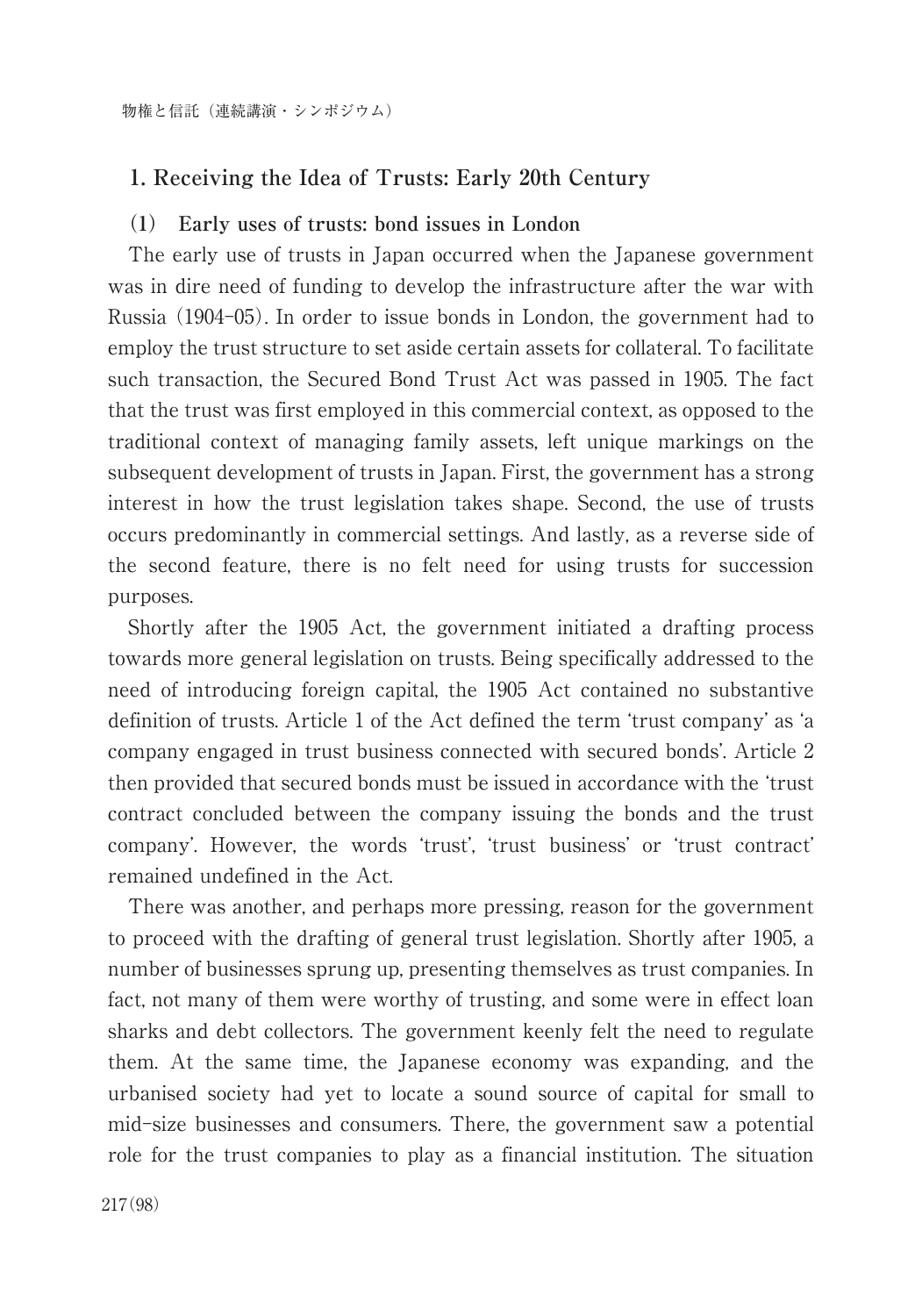# **1. Receiving the Idea of Trusts: Early 20th Century**

## **(1) Early uses of trusts: bond issues in London**

The early use of trusts in Japan occurred when the Japanese government was in dire need of funding to develop the infrastructure after the war with Russia (1904-05). In order to issue bonds in London, the government had to employ the trust structure to set aside certain assets for collateral. To facilitate such transaction, the Secured Bond Trust Act was passed in 1905. The fact that the trust was first employed in this commercial context, as opposed to the traditional context of managing family assets, left unique markings on the subsequent development of trusts in Japan. First, the government has a strong interest in how the trust legislation takes shape. Second, the use of trusts occurs predominantly in commercial settings. And lastly, as a reverse side of the second feature, there is no felt need for using trusts for succession purposes.

Shortly after the 1905 Act, the government initiated a drafting process towards more general legislation on trusts. Being specifically addressed to the need of introducing foreign capital, the 1905 Act contained no substantive definition of trusts. Article 1 of the Act defined the term ʻtrust company' as ʻa company engaged in trust business connected with secured bonds'. Article 2 then provided that secured bonds must be issued in accordance with the ʻtrust contract concluded between the company issuing the bonds and the trust company'. However, the words ʻtrust', ʻtrust business' or ʻtrust contract' remained undefined in the Act.

There was another, and perhaps more pressing, reason for the government to proceed with the drafting of general trust legislation. Shortly after 1905, a number of businesses sprung up, presenting themselves as trust companies. In fact, not many of them were worthy of trusting, and some were in effect loan sharks and debt collectors. The government keenly felt the need to regulate them. At the same time, the Japanese economy was expanding, and the urbanised society had yet to locate a sound source of capital for small to mid-size businesses and consumers. There, the government saw a potential role for the trust companies to play as a financial institution. The situation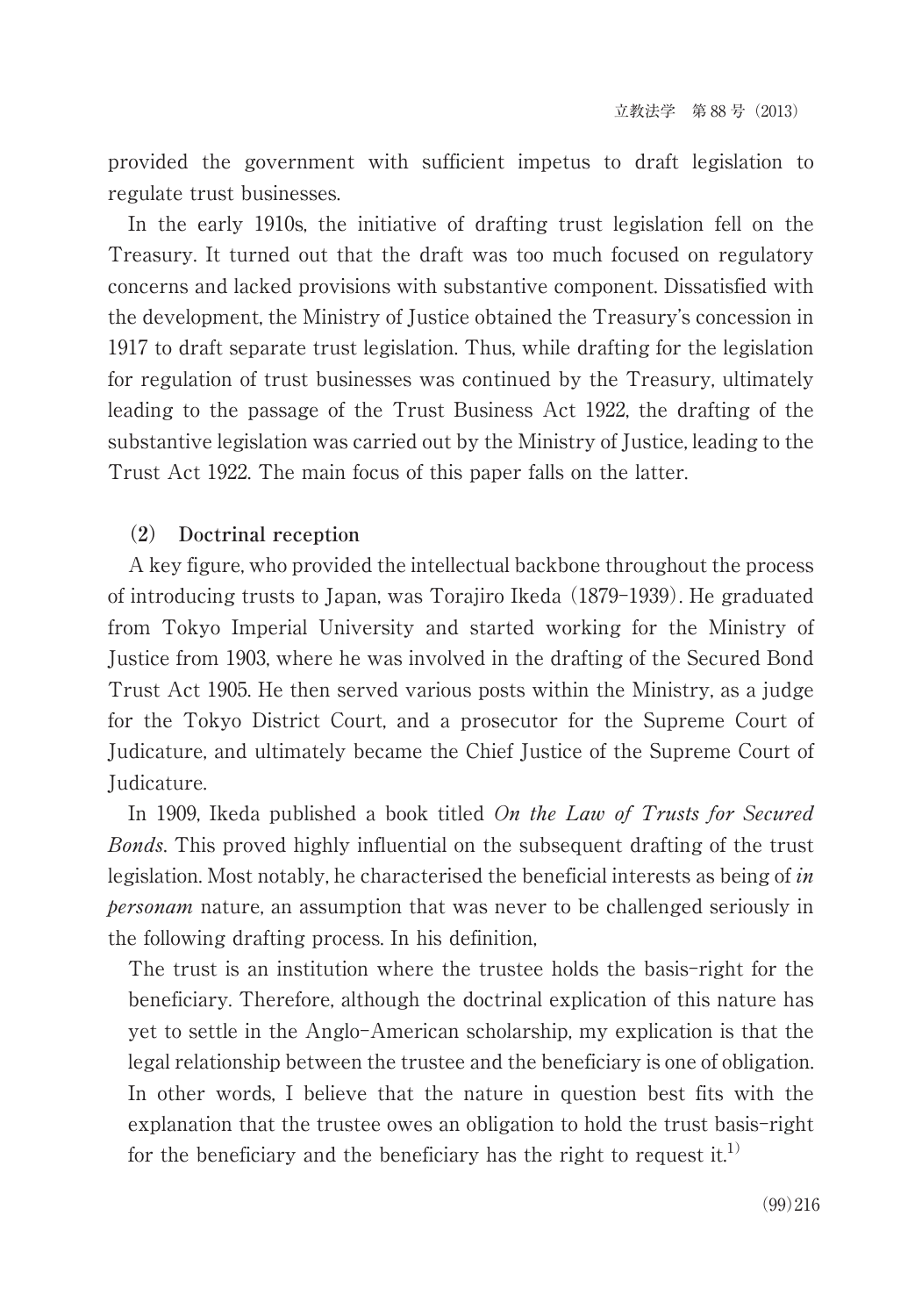provided the government with sufficient impetus to draft legislation to regulate trust businesses.

In the early 1910s, the initiative of drafting trust legislation fell on the Treasury. It turned out that the draft was too much focused on regulatory concerns and lacked provisions with substantive component. Dissatisfied with the development, the Ministry of Justice obtained the Treasury's concession in 1917 to draft separate trust legislation. Thus, while drafting for the legislation for regulation of trust businesses was continued by the Treasury, ultimately leading to the passage of the Trust Business Act 1922, the drafting of the substantive legislation was carried out by the Ministry of Justice, leading to the Trust Act 1922. The main focus of this paper falls on the latter.

## **(2) Doctrinal reception**

A key figure, who provided the intellectual backbone throughout the process of introducing trusts to Japan, was Torajiro Ikeda (1879-1939). He graduated from Tokyo Imperial University and started working for the Ministry of Justice from 1903, where he was involved in the drafting of the Secured Bond Trust Act 1905. He then served various posts within the Ministry, as a judge for the Tokyo District Court, and a prosecutor for the Supreme Court of Judicature, and ultimately became the Chief Justice of the Supreme Court of Judicature.

In 1909, Ikeda published a book titled On the Law of Trusts for Secured Bonds. This proved highly influential on the subsequent drafting of the trust legislation. Most notably, he characterised the beneficial interests as being of in personam nature, an assumption that was never to be challenged seriously in the following drafting process. In his definition,

The trust is an institution where the trustee holds the basis-right for the beneficiary. Therefore, although the doctrinal explication of this nature has yet to settle in the Anglo-American scholarship, my explication is that the legal relationship between the trustee and the beneficiary is one of obligation. In other words, I believe that the nature in question best fits with the explanation that the trustee owes an obligation to hold the trust basis-right for the beneficiary and the beneficiary has the right to request it.<sup>1)</sup>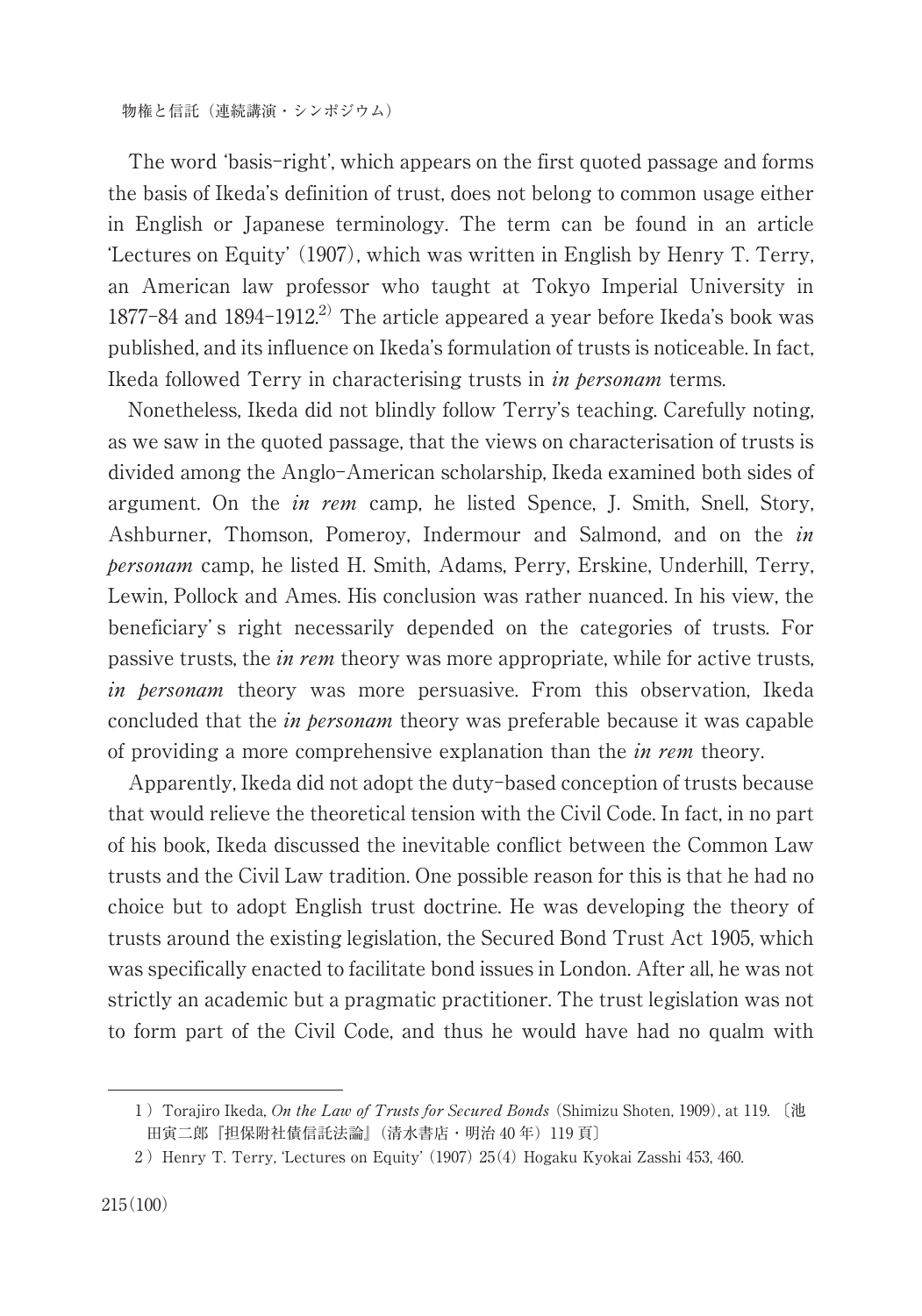The word ʻbasis-right', which appears on the first quoted passage and forms the basis of Ikeda's definition of trust, does not belong to common usage either in English or Japanese terminology. The term can be found in an article ʻLectures on Equity' (1907), which was written in English by Henry T. Terry, an American law professor who taught at Tokyo Imperial University in  $1877 - 84$  and  $1894 - 1912$ <sup>2)</sup> The article appeared a year before Ikeda's book was published, and its influence on Ikeda's formulation of trusts is noticeable. In fact, Ikeda followed Terry in characterising trusts in *in bersonam* terms.

Nonetheless, Ikeda did not blindly follow Terry's teaching. Carefully noting, as we saw in the quoted passage, that the views on characterisation of trusts is divided among the Anglo-American scholarship, Ikeda examined both sides of argument. On the *in rem* camp, he listed Spence, J. Smith, Snell, Story, Ashburner, Thomson, Pomeroy, Indermour and Salmond, and on the *in* personam camp, he listed H. Smith, Adams, Perry, Erskine, Underhill, Terry, Lewin, Pollock and Ames. His conclusion was rather nuanced. In his view, the beneficiary' s right necessarily depended on the categories of trusts. For passive trusts, the in rem theory was more appropriate, while for active trusts, in personam theory was more persuasive. From this observation, Ikeda concluded that the *in personam* theory was preferable because it was capable of providing a more comprehensive explanation than the *in rem* theory.

Apparently, Ikeda did not adopt the duty-based conception of trusts because that would relieve the theoretical tension with the Civil Code. In fact, in no part of his book, Ikeda discussed the inevitable conflict between the Common Law trusts and the Civil Law tradition. One possible reason for this is that he had no choice but to adopt English trust doctrine. He was developing the theory of trusts around the existing legislation, the Secured Bond Trust Act 1905, which was specifically enacted to facilitate bond issues in London. After all, he was not strictly an academic but a pragmatic practitioner. The trust legislation was not to form part of the Civil Code, and thus he would have had no qualm with

<sup>1)</sup> Torajiro Ikeda, On the Law of Trusts for Secured Bonds (Shimizu Shoten, 1909), at 119. 〔池 田寅二郎『担保附社債信託法論』(清水書店・明治 40 年)119 頁〕

<sup>)</sup>Henry T. Terry, ʻLectures on Equity' (1907) 25(4) Hogaku Kyokai Zasshi 453, 460.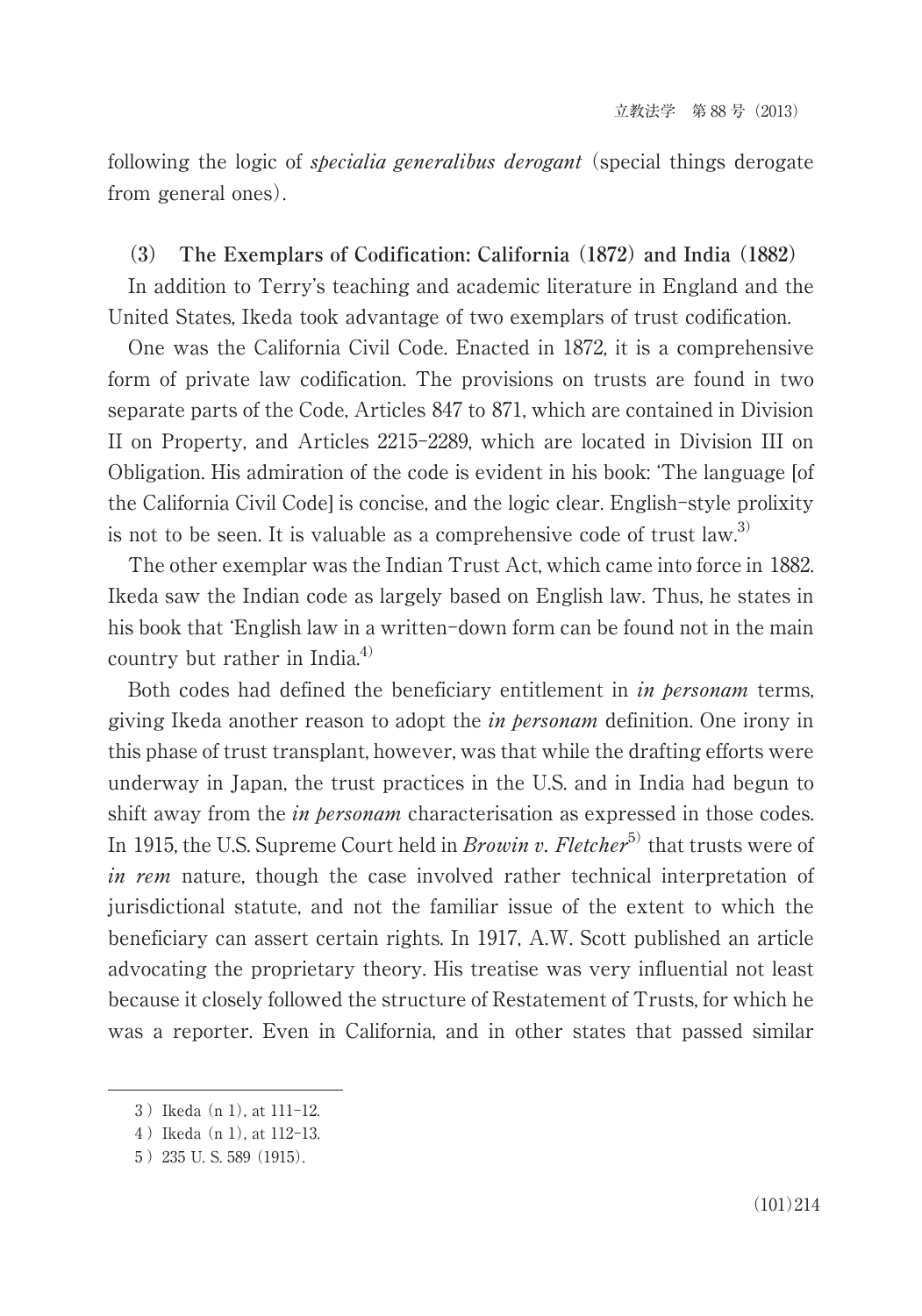following the logic of *specialia generalibus derogant* (special things derogate from general ones).

#### **(3) The Exemplars of Codification: California (1872) and India (1882)**

In addition to Terry's teaching and academic literature in England and the United States, Ikeda took advantage of two exemplars of trust codification.

One was the California Civil Code. Enacted in 1872, it is a comprehensive form of private law codification. The provisions on trusts are found in two separate parts of the Code, Articles 847 to 871, which are contained in Division II on Property, and Articles 2215-2289, which are located in Division III on Obligation. His admiration of the code is evident in his book: ʻThe language [of the California Civil Code] is concise, and the logic clear. English-style prolixity is not to be seen. It is valuable as a comprehensive code of trust  $law^{(3)}$ 

The other exemplar was the Indian Trust Act, which came into force in 1882. Ikeda saw the Indian code as largely based on English law. Thus, he states in his book that 'English law in a written-down form can be found not in the main country but rather in India. 4)

Both codes had defined the beneficiary entitlement in *in personam* terms, giving Ikeda another reason to adopt the *in personam* definition. One irony in this phase of trust transplant, however, was that while the drafting efforts were underway in Japan, the trust practices in the U.S. and in India had begun to shift away from the *in personam* characterisation as expressed in those codes. In 1915, the U.S. Supreme Court held in *Browin v. Fletcher*<sup>5)</sup> that trusts were of in rem nature, though the case involved rather technical interpretation of jurisdictional statute, and not the familiar issue of the extent to which the beneficiary can assert certain rights. In 1917, A.W. Scott published an article advocating the proprietary theory. His treatise was very influential not least because it closely followed the structure of Restatement of Trusts, for which he was a reporter. Even in California, and in other states that passed similar

<sup>)</sup>Ikeda (n 1), at 111-12.

)Ikeda (n 1), at 112-13.

<sup>!</sup>)235 U. S. 589 (1915).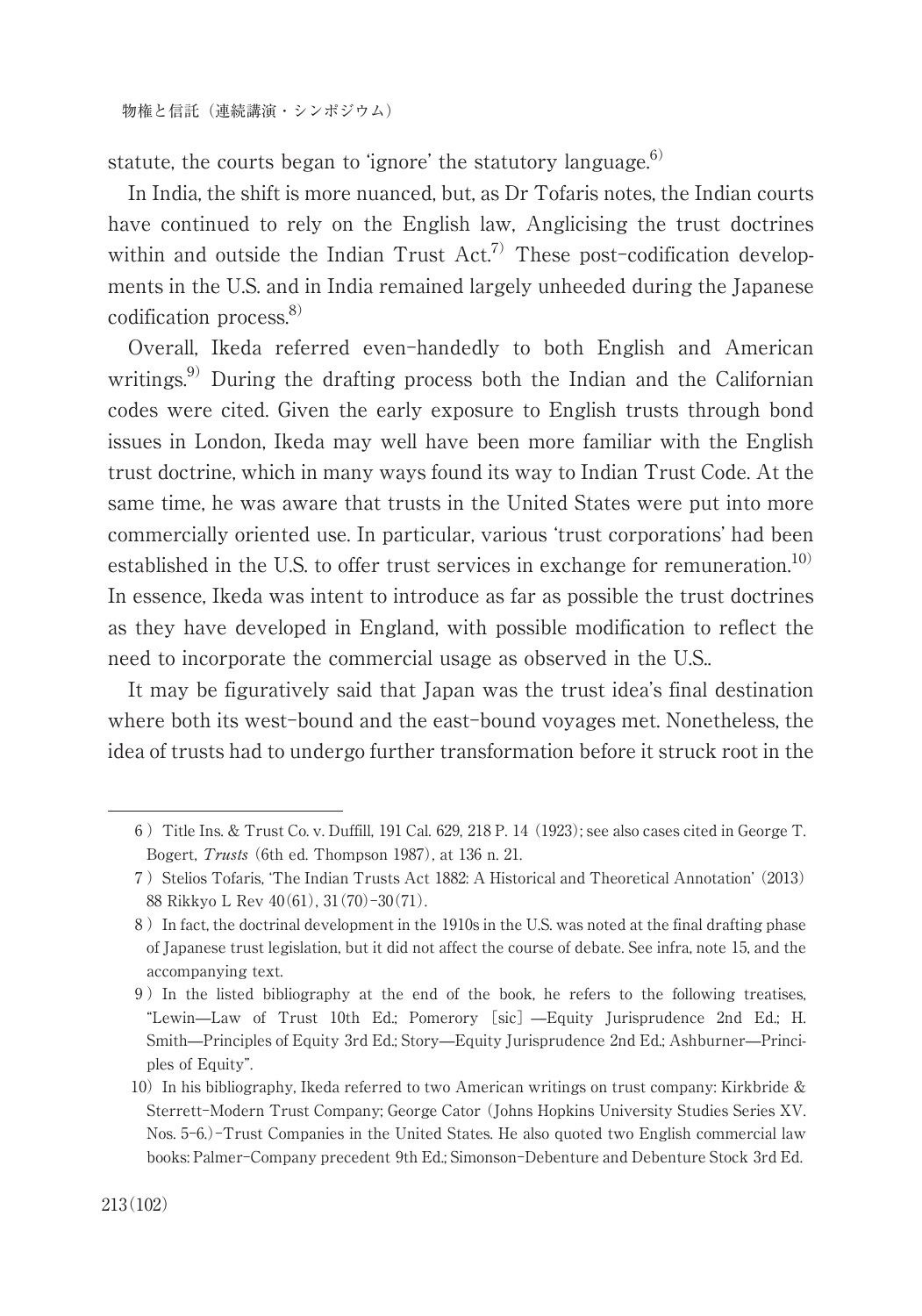statute, the courts began to 'ignore' the statutory language.<sup>6)</sup>

In India, the shift is more nuanced, but, as Dr Tofaris notes, the Indian courts have continued to rely on the English law, Anglicising the trust doctrines within and outside the Indian Trust  $Act^{7)}$  These post-codification developments in the U.S. and in India remained largely unheeded during the Japanese codification process. 8)

Overall, Ikeda referred even-handedly to both English and American writings.<sup>9)</sup> During the drafting process both the Indian and the Californian codes were cited. Given the early exposure to English trusts through bond issues in London, Ikeda may well have been more familiar with the English trust doctrine, which in many ways found its way to Indian Trust Code. At the same time, he was aware that trusts in the United States were put into more commercially oriented use. In particular, various ʻtrust corporations' had been established in the U.S. to offer trust services in exchange for remuneration.<sup>10)</sup> In essence, Ikeda was intent to introduce as far as possible the trust doctrines as they have developed in England, with possible modification to reflect the need to incorporate the commercial usage as observed in the U.S..

It may be figuratively said that Japan was the trust idea's final destination where both its west-bound and the east-bound voyages met. Nonetheless, the idea of trusts had to undergo further transformation before it struck root in the

<sup>&</sup>amp;)Title Ins. & Trust Co. v. Duffill, 191 Cal. 629, 218 P. 14 (1923); see also cases cited in George T. Bogert, Trusts (6th ed. Thompson 1987), at 136 n. 21.

<sup>)</sup>)Stelios Tofaris, ʻThe Indian Trusts Act 1882: A Historical and Theoretical Annotation' (2013) 88 Rikkyo L Rev 40(61), 31(70)-30(71).

<sup>\*</sup>)In fact, the doctrinal development in the 1910s in the U.S. was noted at the final drafting phase of Japanese trust legislation, but it did not affect the course of debate. See infra, note 15, and the accompanying text.

 $9$ ) In the listed bibliography at the end of the book, he refers to the following treatises, "Lewin̶Law of Trust 10th Ed.; Pomerory [sic] ̶Equity Jurisprudence 2nd Ed.; H. Smith̶Principles of Equity 3rd Ed.; Story̶Equity Jurisprudence 2nd Ed.; Ashburner̶Principles of Equity".

<sup>10)</sup> In his bibliography, Ikeda referred to two American writings on trust company: Kirkbride & Sterrett-Modern Trust Company; George Cator (Johns Hopkins University Studies Series XV. Nos. 5-6.)-Trust Companies in the United States. He also quoted two English commercial law books: Palmer-Company precedent 9th Ed.; Simonson-Debenture and Debenture Stock 3rd Ed.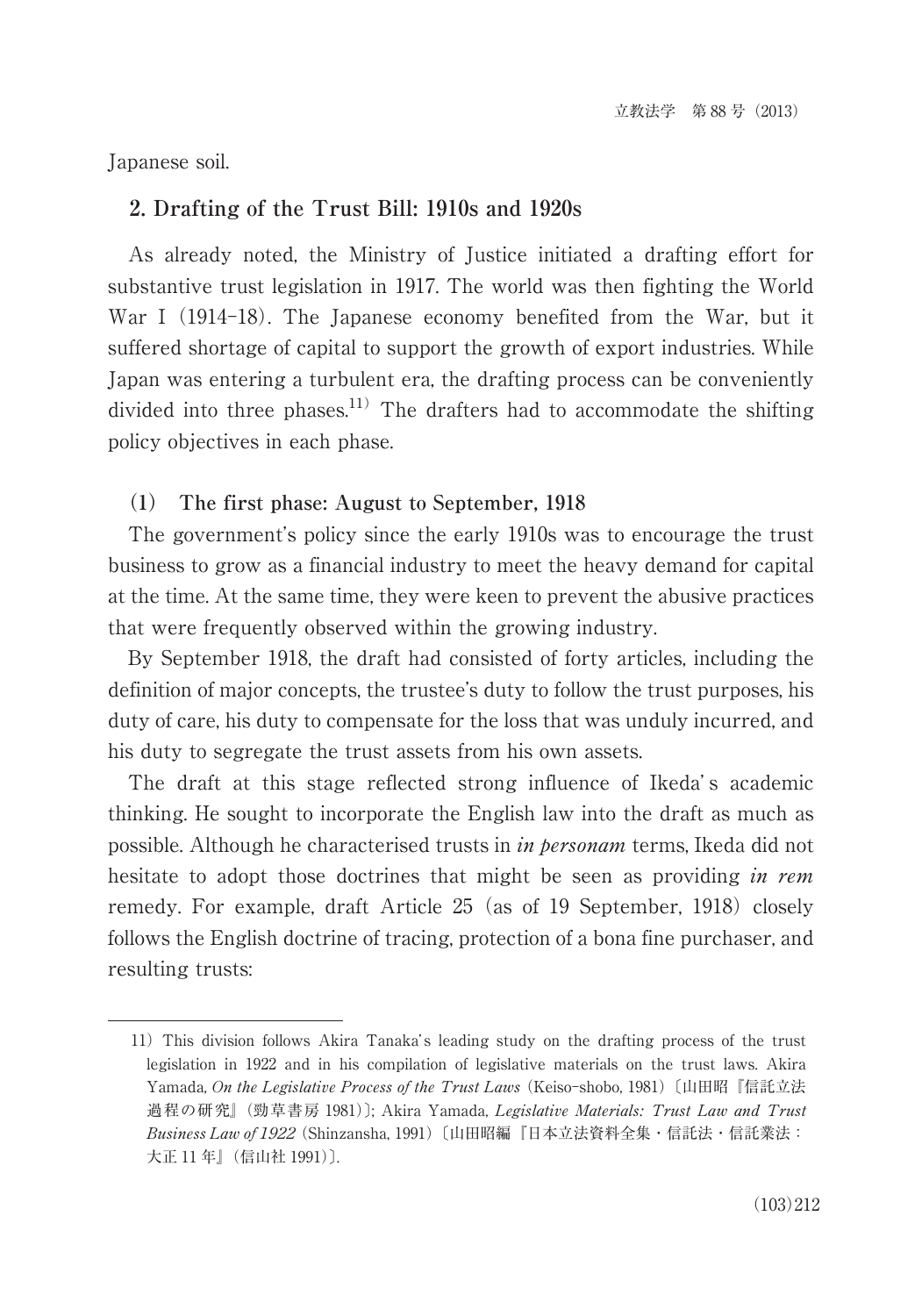Japanese soil.

# **2. Drafting of the Trust Bill: 1910s and 1920s**

As already noted, the Ministry of Justice initiated a drafting effort for substantive trust legislation in 1917. The world was then fighting the World War I (1914-18). The Japanese economy benefited from the War, but it suffered shortage of capital to support the growth of export industries. While Japan was entering a turbulent era, the drafting process can be conveniently divided into three phases.<sup>11)</sup> The drafters had to accommodate the shifting policy objectives in each phase.

# **(1) The first phase: August to September, 1918**

The government's policy since the early 1910s was to encourage the trust business to grow as a financial industry to meet the heavy demand for capital at the time. At the same time, they were keen to prevent the abusive practices that were frequently observed within the growing industry.

By September 1918, the draft had consisted of forty articles, including the definition of major concepts, the trustee's duty to follow the trust purposes, his duty of care, his duty to compensate for the loss that was unduly incurred, and his duty to segregate the trust assets from his own assets.

The draft at this stage reflected strong influence of Ikeda's academic thinking. He sought to incorporate the English law into the draft as much as possible. Although he characterised trusts in in personam terms, Ikeda did not hesitate to adopt those doctrines that might be seen as providing in rem remedy. For example, draft Article 25 (as of 19 September, 1918) closely follows the English doctrine of tracing, protection of a bona fine purchaser, and resulting trusts:

<sup>11)</sup> This division follows Akira Tanaka's leading study on the drafting process of the trust legislation in 1922 and in his compilation of legislative materials on the trust laws. Akira Yamada, On the Legislative Process of the Trust Laws (Keiso-shobo, 1981)〔山田昭『信託立法 過程の研究』(勁草書房 1981)]; Akira Yamada, Legislative Materials; Trust Law and Trust Business Law of 1922 (Shinzansha, 1991)〔山田昭編『日本立法資料全集・信託法・信託業法: 大正 11 年』(信山社 1991)〕.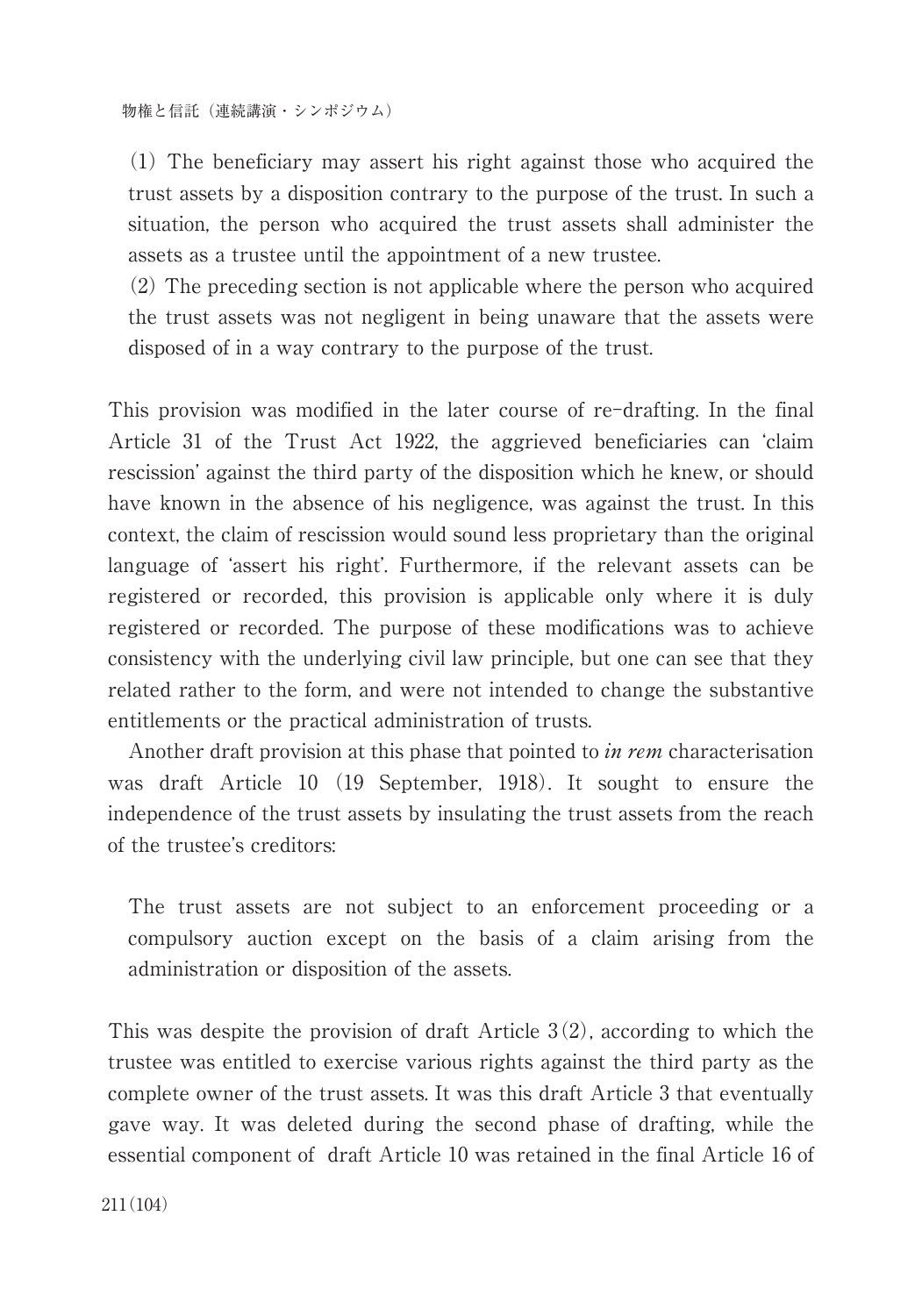(1) The beneficiary may assert his right against those who acquired the trust assets by a disposition contrary to the purpose of the trust. In such a situation, the person who acquired the trust assets shall administer the assets as a trustee until the appointment of a new trustee.

(2) The preceding section is not applicable where the person who acquired the trust assets was not negligent in being unaware that the assets were disposed of in a way contrary to the purpose of the trust.

This provision was modified in the later course of re-drafting. In the final Article 31 of the Trust Act 1922, the aggrieved beneficiaries can ʻclaim rescission' against the third party of the disposition which he knew, or should have known in the absence of his negligence, was against the trust. In this context, the claim of rescission would sound less proprietary than the original language of ʻassert his right'. Furthermore, if the relevant assets can be registered or recorded, this provision is applicable only where it is duly registered or recorded. The purpose of these modifications was to achieve consistency with the underlying civil law principle, but one can see that they related rather to the form, and were not intended to change the substantive entitlements or the practical administration of trusts.

Another draft provision at this phase that pointed to *in rem* characterisation was draft Article 10 (19 September, 1918). It sought to ensure the independence of the trust assets by insulating the trust assets from the reach of the trustee's creditors:

The trust assets are not subject to an enforcement proceeding or a compulsory auction except on the basis of a claim arising from the administration or disposition of the assets.

This was despite the provision of draft Article  $3(2)$ , according to which the trustee was entitled to exercise various rights against the third party as the complete owner of the trust assets. It was this draft Article 3 that eventually gave way. It was deleted during the second phase of drafting, while the essential component of draft Article 10 was retained in the final Article 16 of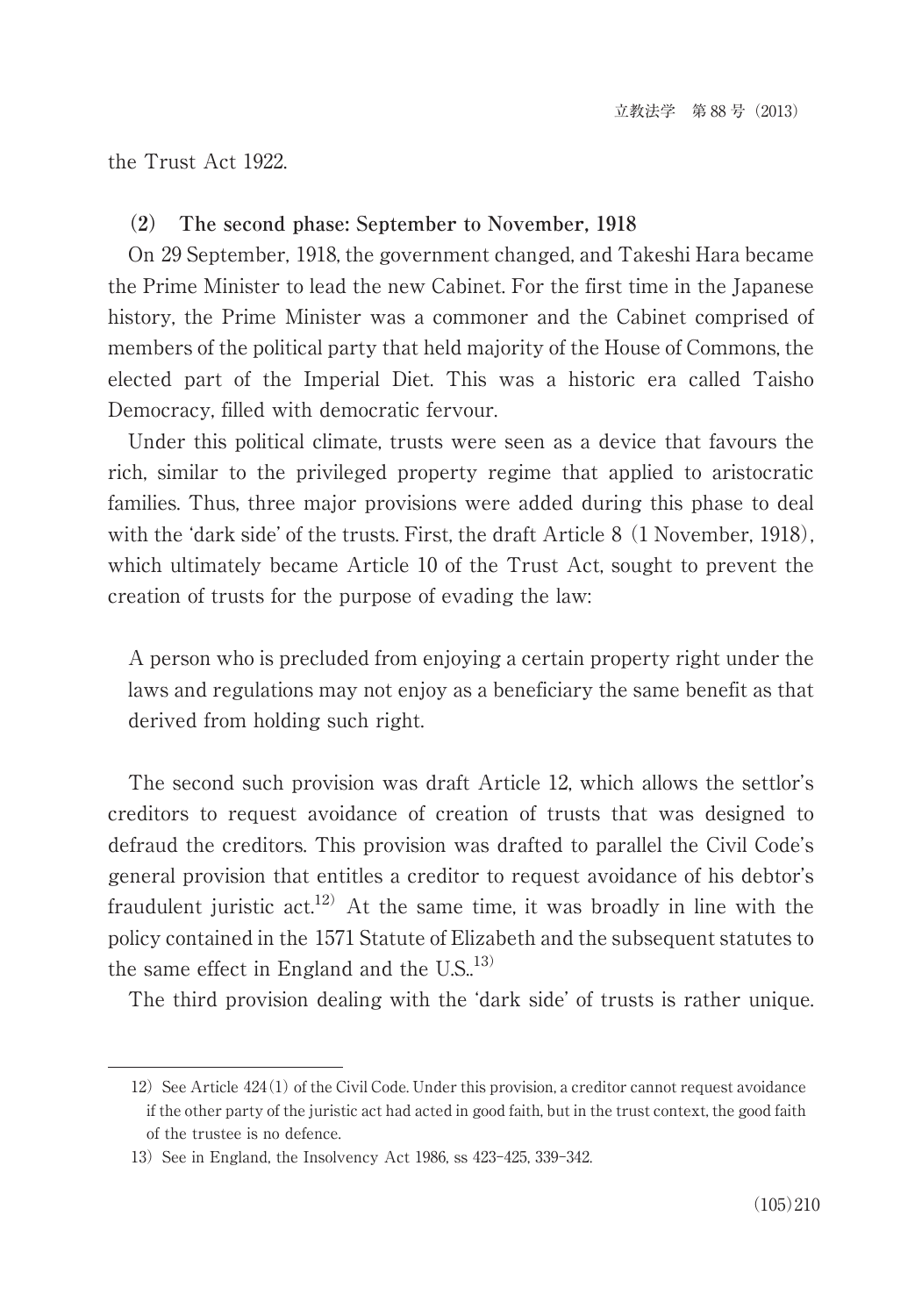the Trust Act 1922.

#### **(2) The second phase: September to November, 1918**

On 29 September, 1918, the government changed, and Takeshi Hara became the Prime Minister to lead the new Cabinet. For the first time in the Japanese history, the Prime Minister was a commoner and the Cabinet comprised of members of the political party that held majority of the House of Commons, the elected part of the Imperial Diet. This was a historic era called Taisho Democracy, filled with democratic fervour.

Under this political climate, trusts were seen as a device that favours the rich, similar to the privileged property regime that applied to aristocratic families. Thus, three major provisions were added during this phase to deal with the ʻdark side' of the trusts. First, the draft Article 8 (1 November, 1918), which ultimately became Article 10 of the Trust Act, sought to prevent the creation of trusts for the purpose of evading the law:

A person who is precluded from enjoying a certain property right under the laws and regulations may not enjoy as a beneficiary the same benefit as that derived from holding such right.

The second such provision was draft Article 12, which allows the settlor's creditors to request avoidance of creation of trusts that was designed to defraud the creditors. This provision was drafted to parallel the Civil Code's general provision that entitles a creditor to request avoidance of his debtor's fraudulent juristic  $act^{12}$ . At the same time, it was broadly in line with the policy contained in the 1571 Statute of Elizabeth and the subsequent statutes to the same effect in England and the  $\text{U.S.}^{13)}$ 

The third provision dealing with the ʻdark side' of trusts is rather unique.

<sup>12)</sup> See Article  $424(1)$  of the Civil Code. Under this provision, a creditor cannot request avoidance if the other party of the juristic act had acted in good faith, but in the trust context, the good faith of the trustee is no defence.

<sup>13)</sup> See in England, the Insolvency Act 1986, ss 423-425, 339-342.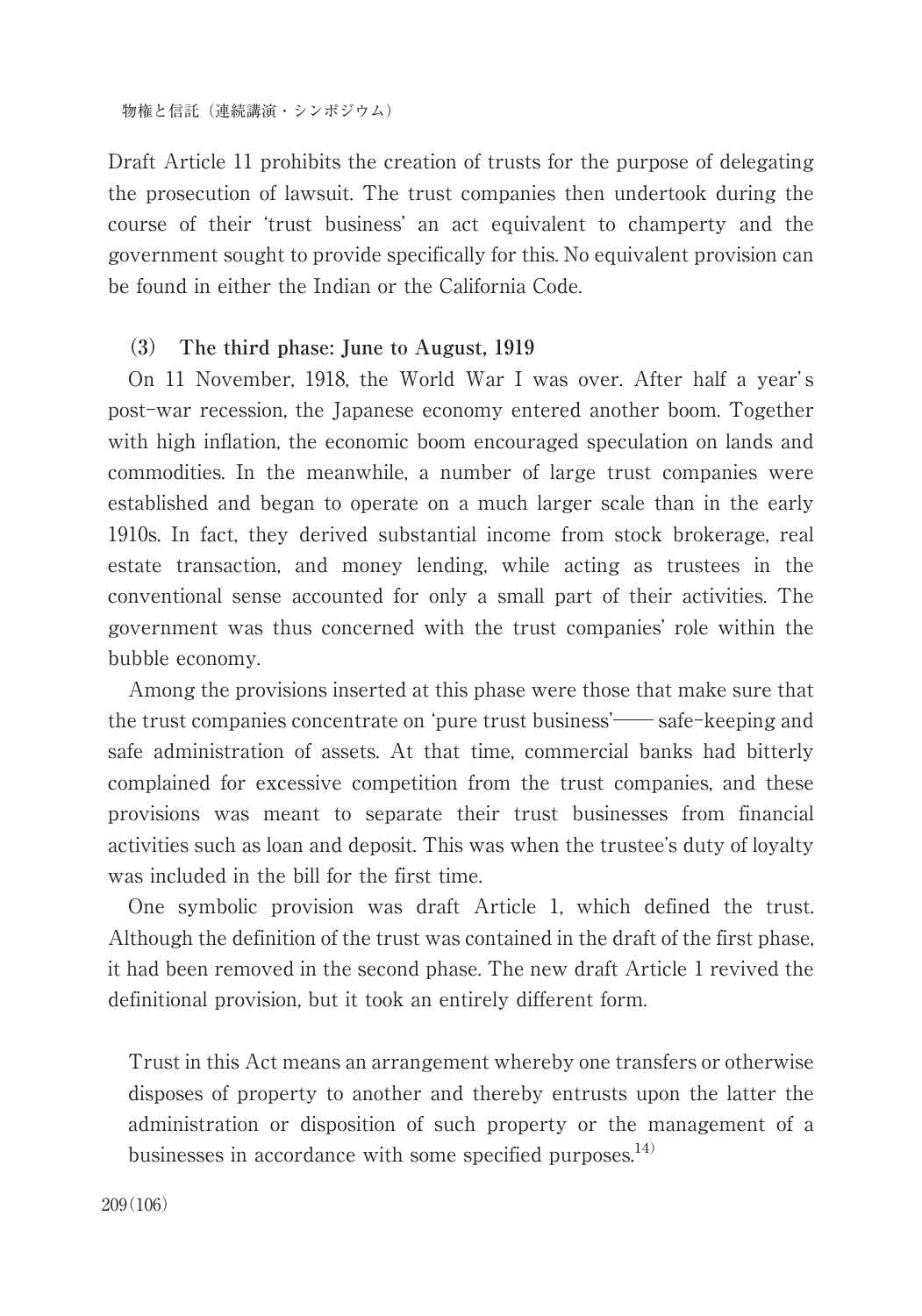物権と信託(連続講演・シンポジウム)

Draft Article 11 prohibits the creation of trusts for the purpose of delegating the prosecution of lawsuit. The trust companies then undertook during the course of their ʻtrust business' an act equivalent to champerty and the government sought to provide specifically for this. No equivalent provision can be found in either the Indian or the California Code.

# **(3) The third phase: June to August, 1919**

On 11 November, 1918, the World War I was over. After half a year' s post-war recession, the Japanese economy entered another boom. Together with high inflation, the economic boom encouraged speculation on lands and commodities. In the meanwhile, a number of large trust companies were established and began to operate on a much larger scale than in the early 1910s. In fact, they derived substantial income from stock brokerage, real estate transaction, and money lending, while acting as trustees in the conventional sense accounted for only a small part of their activities. The government was thus concerned with the trust companies' role within the bubble economy.

Among the provisions inserted at this phase were those that make sure that the trust companies concentrate on 'pure trust business'—— safe-keeping and safe administration of assets. At that time, commercial banks had bitterly complained for excessive competition from the trust companies, and these provisions was meant to separate their trust businesses from financial activities such as loan and deposit. This was when the trustee's duty of loyalty was included in the bill for the first time.

One symbolic provision was draft Article 1, which defined the trust. Although the definition of the trust was contained in the draft of the first phase, it had been removed in the second phase. The new draft Article 1 revived the definitional provision, but it took an entirely different form.

Trust in this Act means an arrangement whereby one transfers or otherwise disposes of property to another and thereby entrusts upon the latter the administration or disposition of such property or the management of a businesses in accordance with some specified purposes. $^{14)}$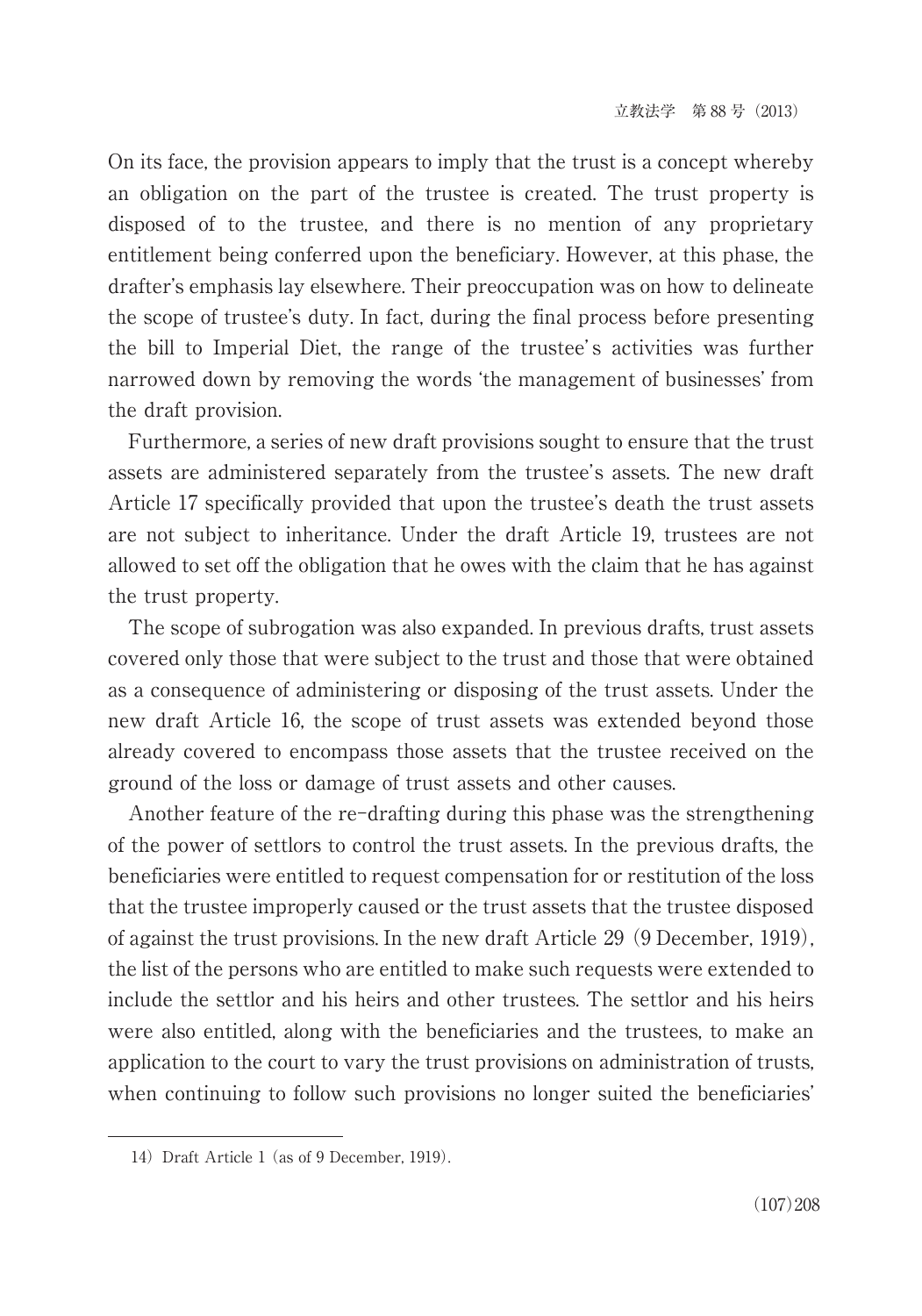On its face, the provision appears to imply that the trust is a concept whereby an obligation on the part of the trustee is created. The trust property is disposed of to the trustee, and there is no mention of any proprietary entitlement being conferred upon the beneficiary. However, at this phase, the drafter's emphasis lay elsewhere. Their preoccupation was on how to delineate the scope of trustee's duty. In fact, during the final process before presenting the bill to Imperial Diet, the range of the trustee' s activities was further narrowed down by removing the words ʻthe management of businesses' from the draft provision.

Furthermore, a series of new draft provisions sought to ensure that the trust assets are administered separately from the trustee's assets. The new draft Article 17 specifically provided that upon the trustee's death the trust assets are not subject to inheritance. Under the draft Article 19, trustees are not allowed to set off the obligation that he owes with the claim that he has against the trust property.

The scope of subrogation was also expanded. In previous drafts, trust assets covered only those that were subject to the trust and those that were obtained as a consequence of administering or disposing of the trust assets. Under the new draft Article 16, the scope of trust assets was extended beyond those already covered to encompass those assets that the trustee received on the ground of the loss or damage of trust assets and other causes.

Another feature of the re-drafting during this phase was the strengthening of the power of settlors to control the trust assets. In the previous drafts, the beneficiaries were entitled to request compensation for or restitution of the loss that the trustee improperly caused or the trust assets that the trustee disposed of against the trust provisions. In the new draft Article 29 (9 December, 1919), the list of the persons who are entitled to make such requests were extended to include the settlor and his heirs and other trustees. The settlor and his heirs were also entitled, along with the beneficiaries and the trustees, to make an application to the court to vary the trust provisions on administration of trusts, when continuing to follow such provisions no longer suited the beneficiaries'

<sup>14)</sup> Draft Article 1 (as of 9 December, 1919).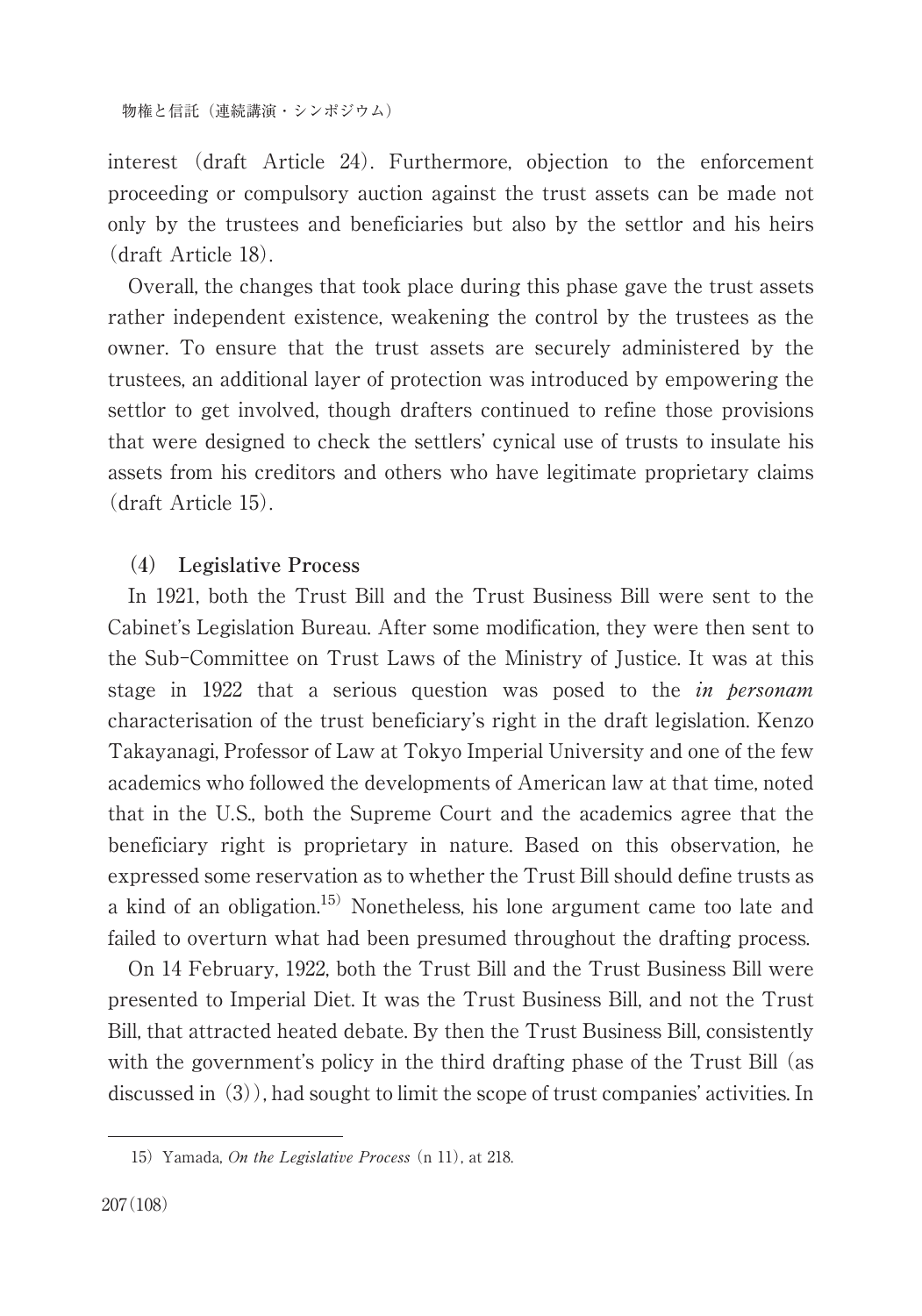interest (draft Article 24). Furthermore, objection to the enforcement proceeding or compulsory auction against the trust assets can be made not only by the trustees and beneficiaries but also by the settlor and his heirs (draft Article 18).

Overall, the changes that took place during this phase gave the trust assets rather independent existence, weakening the control by the trustees as the owner. To ensure that the trust assets are securely administered by the trustees, an additional layer of protection was introduced by empowering the settlor to get involved, though drafters continued to refine those provisions that were designed to check the settlers' cynical use of trusts to insulate his assets from his creditors and others who have legitimate proprietary claims (draft Article 15).

# **(4) Legislative Process**

In 1921, both the Trust Bill and the Trust Business Bill were sent to the Cabinet's Legislation Bureau. After some modification, they were then sent to the Sub-Committee on Trust Laws of the Ministry of Justice. It was at this stage in 1922 that a serious question was posed to the *in personam* characterisation of the trust beneficiary's right in the draft legislation. Kenzo Takayanagi, Professor of Law at Tokyo Imperial University and one of the few academics who followed the developments of American law at that time, noted that in the U.S., both the Supreme Court and the academics agree that the beneficiary right is proprietary in nature. Based on this observation, he expressed some reservation as to whether the Trust Bill should define trusts as a kind of an obligation. 15) Nonetheless, his lone argument came too late and failed to overturn what had been presumed throughout the drafting process.

On 14 February, 1922, both the Trust Bill and the Trust Business Bill were presented to Imperial Diet. It was the Trust Business Bill, and not the Trust Bill, that attracted heated debate. By then the Trust Business Bill, consistently with the government's policy in the third drafting phase of the Trust Bill (as discussed in (3)), had sought to limit the scope of trust companies' activities. In

<sup>15)</sup> Yamada, On the Legislative Process (n 11), at 218.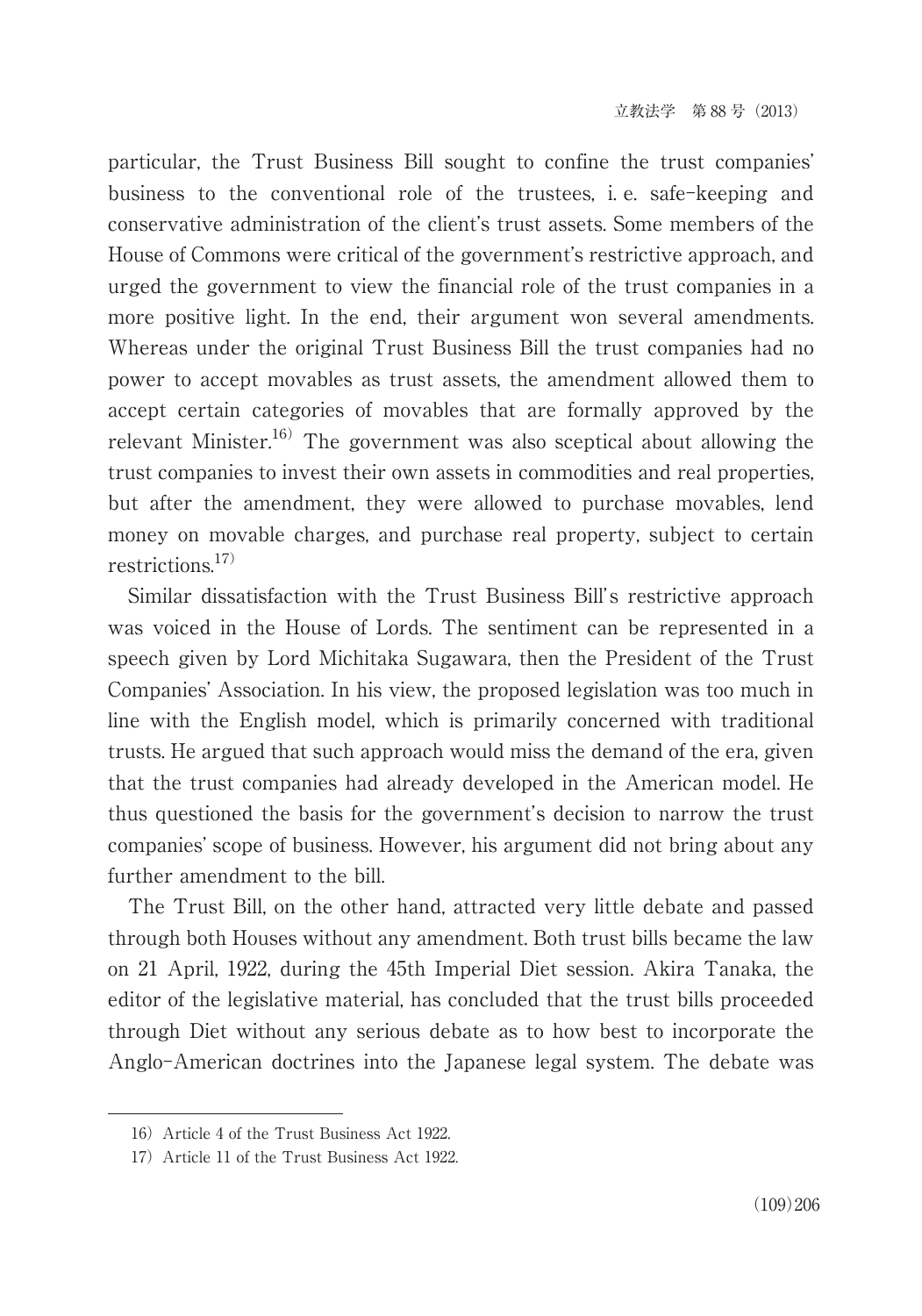particular, the Trust Business Bill sought to confine the trust companies' business to the conventional role of the trustees, i. e. safe-keeping and conservative administration of the client's trust assets. Some members of the House of Commons were critical of the government's restrictive approach, and urged the government to view the financial role of the trust companies in a more positive light. In the end, their argument won several amendments. Whereas under the original Trust Business Bill the trust companies had no power to accept movables as trust assets, the amendment allowed them to accept certain categories of movables that are formally approved by the relevant Minister. 16) The government was also sceptical about allowing the trust companies to invest their own assets in commodities and real properties, but after the amendment, they were allowed to purchase movables, lend money on movable charges, and purchase real property, subject to certain restrictions. 17)

Similar dissatisfaction with the Trust Business Bill's restrictive approach was voiced in the House of Lords. The sentiment can be represented in a speech given by Lord Michitaka Sugawara, then the President of the Trust Companies' Association. In his view, the proposed legislation was too much in line with the English model, which is primarily concerned with traditional trusts. He argued that such approach would miss the demand of the era, given that the trust companies had already developed in the American model. He thus questioned the basis for the government's decision to narrow the trust companies' scope of business. However, his argument did not bring about any further amendment to the bill.

The Trust Bill, on the other hand, attracted very little debate and passed through both Houses without any amendment. Both trust bills became the law on 21 April, 1922, during the 45th Imperial Diet session. Akira Tanaka, the editor of the legislative material, has concluded that the trust bills proceeded through Diet without any serious debate as to how best to incorporate the Anglo-American doctrines into the Japanese legal system. The debate was

<sup>16)</sup>Article 4 of the Trust Business Act 1922.

<sup>17)</sup>Article 11 of the Trust Business Act 1922.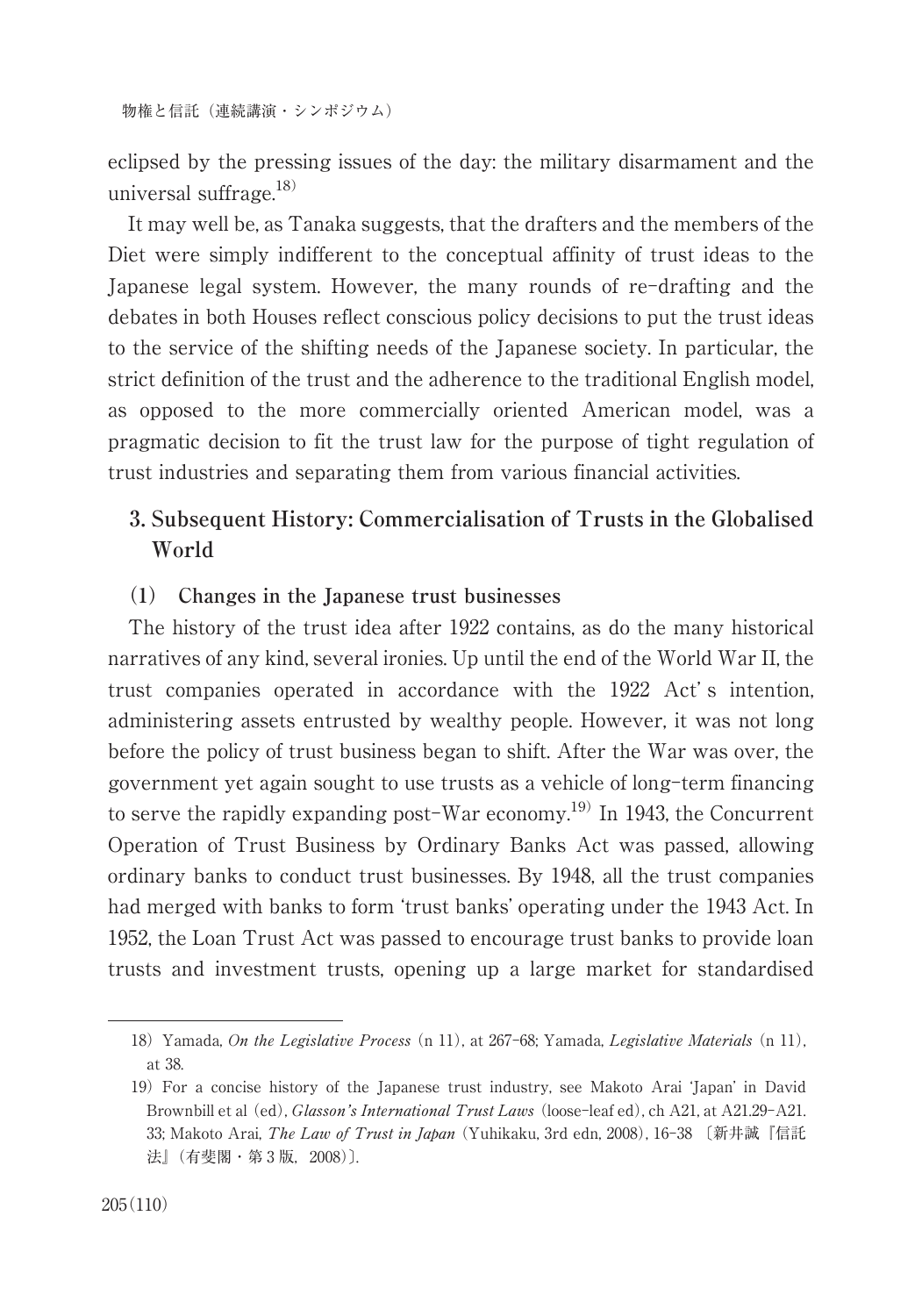eclipsed by the pressing issues of the day: the military disarmament and the universal suffrage. 18)

It may well be, as Tanaka suggests, that the drafters and the members of the Diet were simply indifferent to the conceptual affinity of trust ideas to the Japanese legal system. However, the many rounds of re-drafting and the debates in both Houses reflect conscious policy decisions to put the trust ideas to the service of the shifting needs of the Japanese society. In particular, the strict definition of the trust and the adherence to the traditional English model, as opposed to the more commercially oriented American model, was a pragmatic decision to fit the trust law for the purpose of tight regulation of trust industries and separating them from various financial activities.

# **3. Subsequent History: Commercialisation of Trusts in the Globalised World**

#### **(1) Changes in the Japanese trust businesses**

The history of the trust idea after 1922 contains, as do the many historical narratives of any kind, several ironies. Up until the end of the World War II, the trust companies operated in accordance with the 1922 Act' s intention, administering assets entrusted by wealthy people. However, it was not long before the policy of trust business began to shift. After the War was over, the government yet again sought to use trusts as a vehicle of long-term financing to serve the rapidly expanding post-War economy.<sup>19)</sup> In 1943, the Concurrent Operation of Trust Business by Ordinary Banks Act was passed, allowing ordinary banks to conduct trust businesses. By 1948, all the trust companies had merged with banks to form ʻtrust banks' operating under the 1943 Act. In 1952, the Loan Trust Act was passed to encourage trust banks to provide loan trusts and investment trusts, opening up a large market for standardised

<sup>18)</sup> Yamada, On the Legislative Process (n 11), at 267-68; Yamada, Legislative Materials (n 11), at 38.

<sup>19)</sup>For a concise history of the Japanese trust industry, see Makoto Arai ʻJapan' in David Brownbill et al (ed), Glasson's International Trust Laws (loose-leaf ed), ch A21, at A21.29-A21. 33; Makoto Arai, The Law of Trust in Japan (Yuhikaku, 3rd edn, 2008), 16-38 〔新井誠『信託 法』 (有斐閣・第3版, 2008)〕.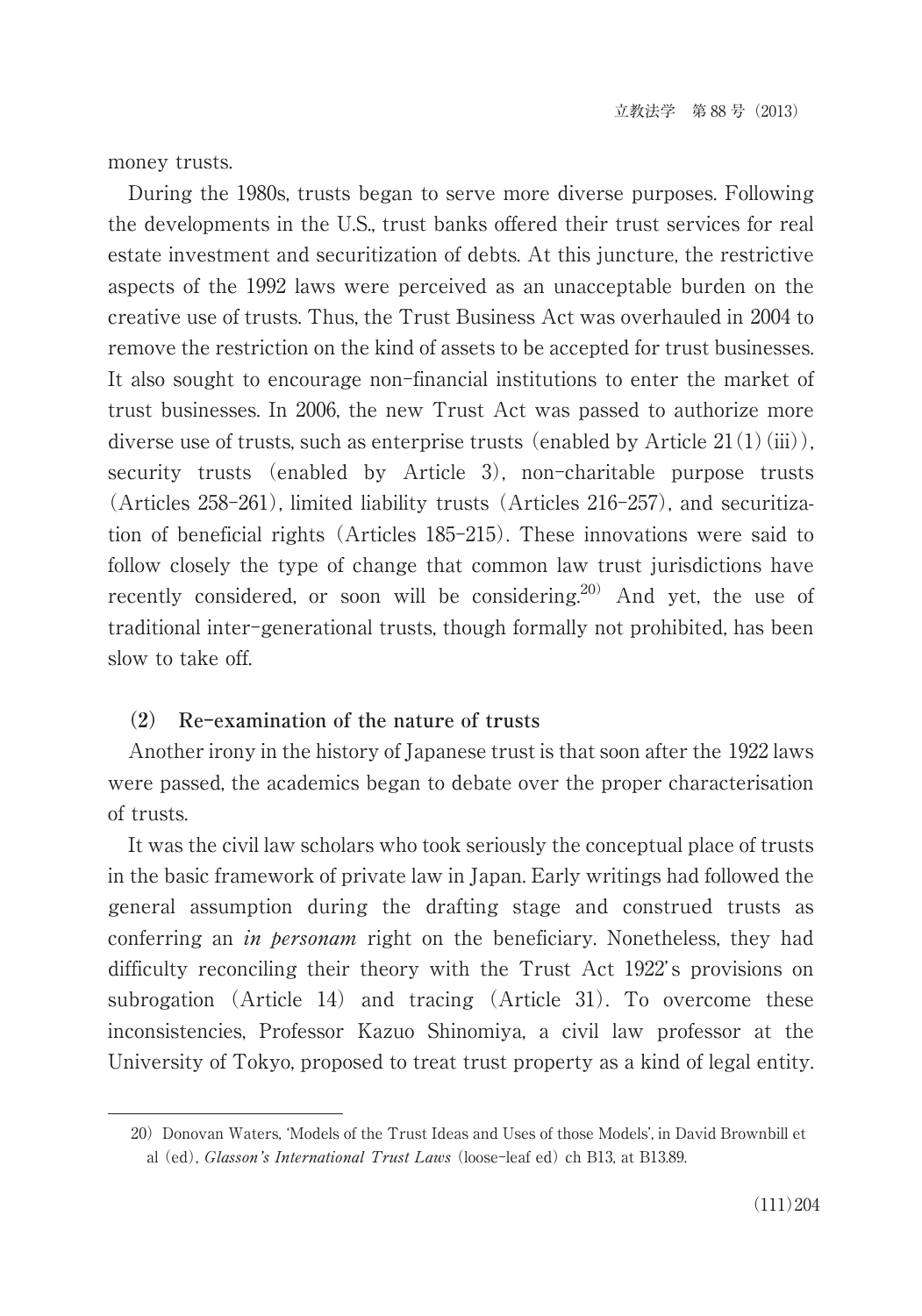money trusts.

During the 1980s, trusts began to serve more diverse purposes. Following the developments in the U.S., trust banks offered their trust services for real estate investment and securitization of debts. At this juncture, the restrictive aspects of the 1992 laws were perceived as an unacceptable burden on the creative use of trusts. Thus, the Trust Business Act was overhauled in 2004 to remove the restriction on the kind of assets to be accepted for trust businesses. It also sought to encourage non-financial institutions to enter the market of trust businesses. In 2006, the new Trust Act was passed to authorize more diverse use of trusts, such as enterprise trusts (enabled by Article  $21(1)(iii)$ ), security trusts (enabled by Article 3), non-charitable purpose trusts (Articles 258-261), limited liability trusts (Articles 216-257), and securitization of beneficial rights (Articles 185-215). These innovations were said to follow closely the type of change that common law trust jurisdictions have recently considered, or soon will be considering.<sup>20)</sup> And yet, the use of traditional inter-generational trusts, though formally not prohibited, has been slow to take off.

#### **(2) Re-examination of the nature of trusts**

Another irony in the history of Japanese trust is that soon after the 1922 laws were passed, the academics began to debate over the proper characterisation of trusts.

It was the civil law scholars who took seriously the conceptual place of trusts in the basic framework of private law in Japan. Early writings had followed the general assumption during the drafting stage and construed trusts as conferring an *in personam* right on the beneficiary. Nonetheless, they had difficulty reconciling their theory with the Trust Act 1922' s provisions on subrogation (Article 14) and tracing (Article 31). To overcome these inconsistencies, Professor Kazuo Shinomiya, a civil law professor at the University of Tokyo, proposed to treat trust property as a kind of legal entity.

<sup>20)</sup> Donovan Waters, 'Models of the Trust Ideas and Uses of those Models', in David Brownbill et al (ed), Glasson's International Trust Laws (loose-leaf ed) ch B13, at B13.89.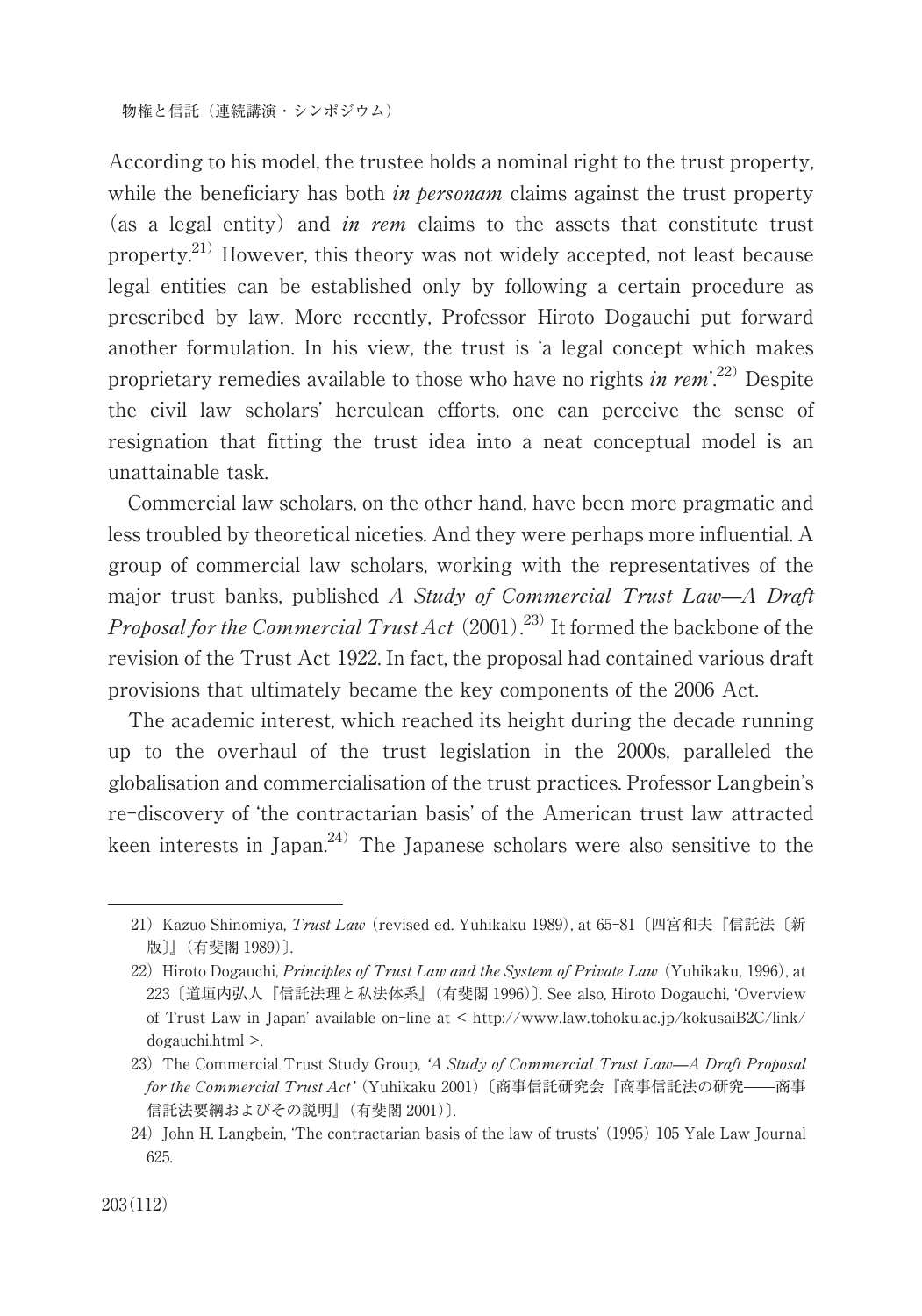According to his model, the trustee holds a nominal right to the trust property, while the beneficiary has both *in personam* claims against the trust property (as a legal entity) and in rem claims to the assets that constitute trust property.<sup>21)</sup> However, this theory was not widely accepted, not least because legal entities can be established only by following a certain procedure as prescribed by law. More recently, Professor Hiroto Dogauchi put forward another formulation. In his view, the trust is ʻa legal concept which makes proprietary remedies available to those who have no rights in rem<sup>22</sup>. Despite the civil law scholars' herculean efforts, one can perceive the sense of resignation that fitting the trust idea into a neat conceptual model is an unattainable task.

Commercial law scholars, on the other hand, have been more pragmatic and less troubled by theoretical niceties. And they were perhaps more influential. A group of commercial law scholars, working with the representatives of the major trust banks, published A Study of Commercial Trust Law—A Draft Proposal for the Commercial Trust Act  $(2001)$ .<sup>23)</sup> It formed the backbone of the revision of the Trust Act 1922. In fact, the proposal had contained various draft provisions that ultimately became the key components of the 2006 Act.

The academic interest, which reached its height during the decade running up to the overhaul of the trust legislation in the 2000s, paralleled the globalisation and commercialisation of the trust practices. Professor Langbein's re-discovery of ʻthe contractarian basis' of the American trust law attracted keen interests in Japan.<sup>24)</sup> The Japanese scholars were also sensitive to the

<sup>21)</sup> Kazuo Shinomiya, Trust Law (revised ed. Yuhikaku 1989), at 65-81 [四宮和夫『信託法〔新 版〕』(有斐閣 1989)〕.

<sup>22)</sup> Hiroto Dogauchi, *Principles of Trust Law and the System of Private Law* (Yuhikaku, 1996), at 223〔道垣内弘人『信託法理と私法体系』(有斐閣 1996)〕. See also, Hiroto Dogauchi, ʻOverview of Trust Law in Japan' available on-line at < http://www.law.tohoku.ac.jp/kokusaiB2C/link/ dogauchi.html >.

<sup>23)</sup> The Commercial Trust Study Group, 'A Study of Commercial Trust Law—A Draft Proposal for the Commercial Trust Act' (Yuhikaku 2001)〔商事信託研究会『商事信託法の研究 -- 商事 信託法要綱およびその説明』(有斐閣 2001)〕.

<sup>24)</sup> John H. Langbein, 'The contractarian basis of the law of trusts' (1995) 105 Yale Law Journal 625.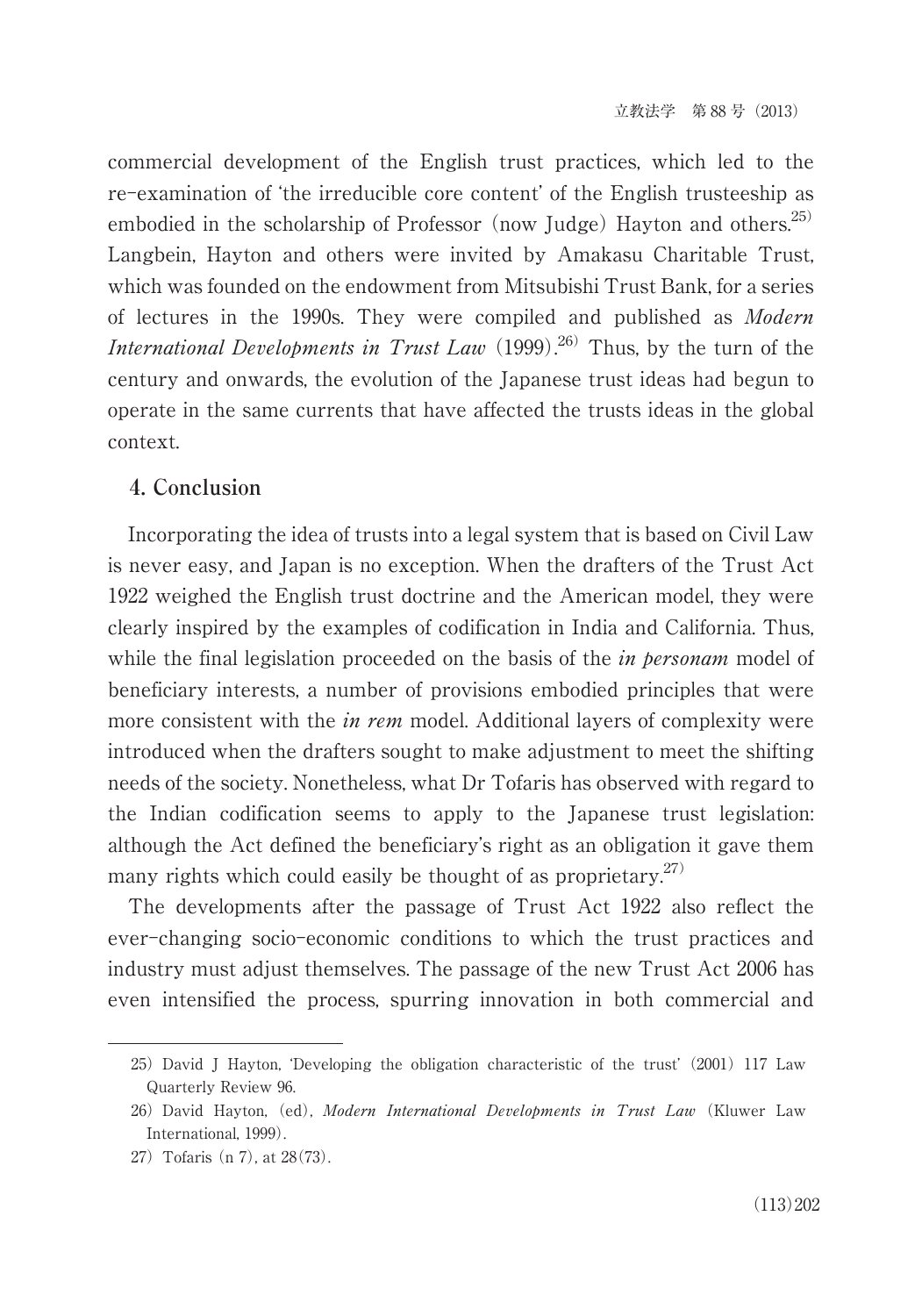commercial development of the English trust practices, which led to the re-examination of ʻthe irreducible core content' of the English trusteeship as embodied in the scholarship of Professor (now Judge) Hayton and others.<sup>25)</sup> Langbein, Hayton and others were invited by Amakasu Charitable Trust, which was founded on the endowment from Mitsubishi Trust Bank, for a series of lectures in the 1990s. They were compiled and published as Modern *International Developments in Trust Law*  $(1999).^{26}$  Thus, by the turn of the century and onwards, the evolution of the Japanese trust ideas had begun to operate in the same currents that have affected the trusts ideas in the global context.

## **4. Conclusion**

Incorporating the idea of trusts into a legal system that is based on Civil Law is never easy, and Japan is no exception. When the drafters of the Trust Act 1922 weighed the English trust doctrine and the American model, they were clearly inspired by the examples of codification in India and California. Thus, while the final legislation proceeded on the basis of the *in personam* model of beneficiary interests, a number of provisions embodied principles that were more consistent with the *in rem* model. Additional layers of complexity were introduced when the drafters sought to make adjustment to meet the shifting needs of the society. Nonetheless, what Dr Tofaris has observed with regard to the Indian codification seems to apply to the Japanese trust legislation: although the Act defined the beneficiary's right as an obligation it gave them many rights which could easily be thought of as proprietary.<sup>27)</sup>

The developments after the passage of Trust Act 1922 also reflect the ever-changing socio-economic conditions to which the trust practices and industry must adjust themselves. The passage of the new Trust Act 2006 has even intensified the process, spurring innovation in both commercial and

<sup>25)</sup> David J Hayton, 'Developing the obligation characteristic of the trust' (2001) 117 Law Quarterly Review 96.

<sup>26)</sup> David Hayton, (ed), Modern International Developments in Trust Law (Kluwer Law International, 1999).

<sup>27)</sup>Tofaris (n 7), at 28(73).